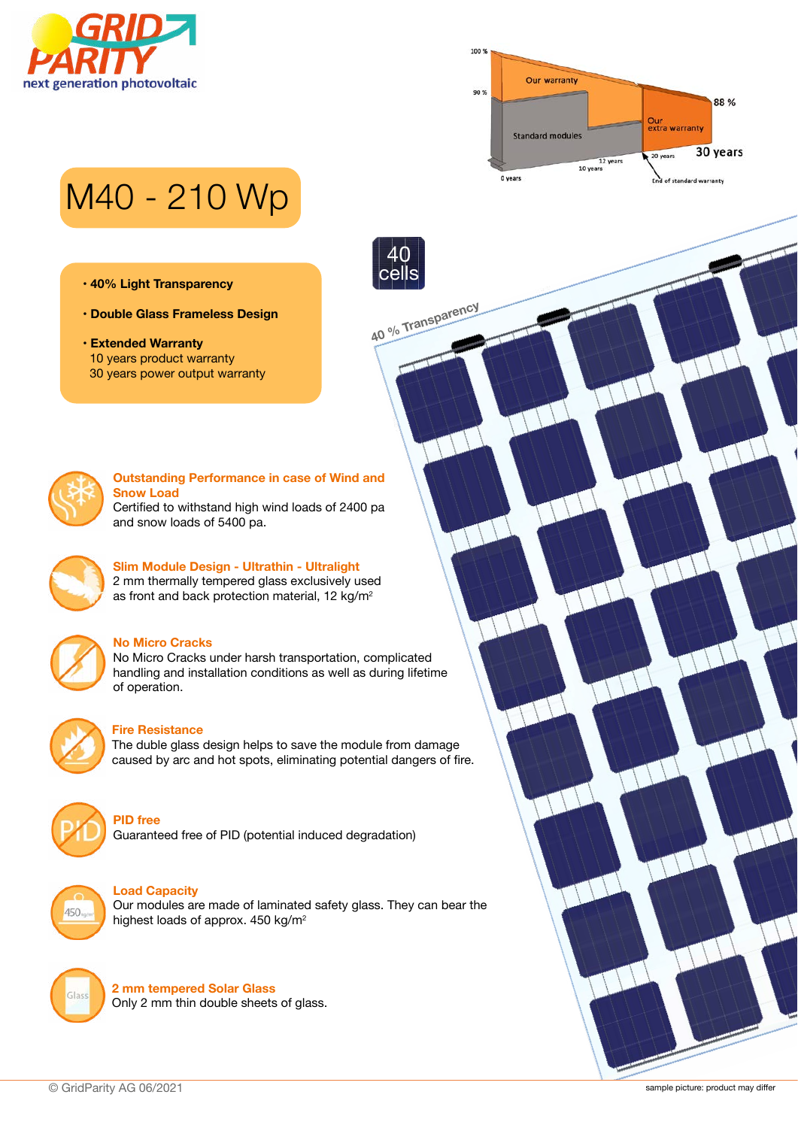



# M40 - 210 Wp

- **40% Light Transparency**
- **Double Glass Frameless Design**
- **Extended Warranty** 10 years product warranty 30 years power output warranty



### **Outstanding Performance in case of Wind and Snow Load**

**40 % Transparency**

40 cells

Certified to withstand high wind loads of 2400 pa and snow loads of 5400 pa.



## **Slim Module Design - Ultrathin - Ultralight** 2 mm thermally tempered glass exclusively used

as front and back protection material, 12 kg/m<sup>2</sup>



## **No Micro Cracks**

No Micro Cracks under harsh transportation, complicated handling and installation conditions as well as during lifetime of operation.



## **Fire Resistance**

The duble glass design helps to save the module from damage caused by arc and hot spots, eliminating potential dangers of fire.



## **PID free**

Guaranteed free of PID (potential induced degradation)



### **Load Capacity**

Our modules are made of laminated safety glass. They can bear the highest loads of approx. 450 kg/m2



**2 mm tempered Solar Glass** Only 2 mm thin double sheets of glass.